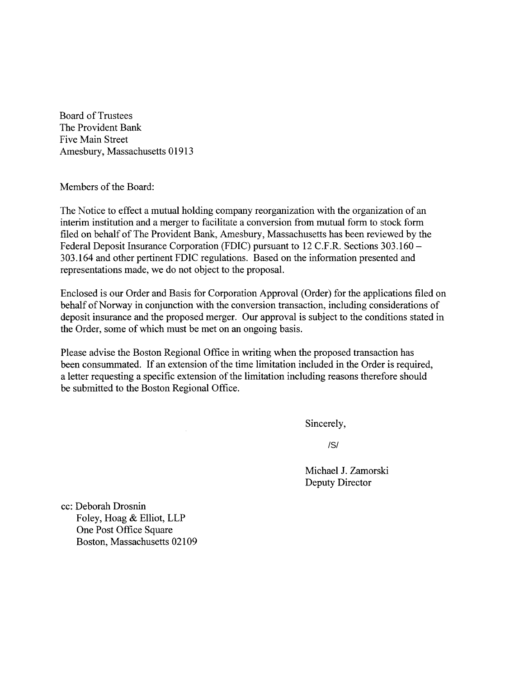Board of Trustees The Provident Bank Five Main Street Amesbury, Massachusetts 01913

Members of the Board:

The Notice to effect a mutual holding company reorganization with the organization of an interim institution and a merger to facilitate a conversion from mutual form to stock form filed on behalf of The Provident Bank, Amesbury, Massachusetts has been reviewed by the Federal Deposit Insurance Corporation (FDIC) pursuant to 12 C.F.R. Sections 303.160 - 303.164 and other pertinent FDIC regulations. Based on the information presented and representations made, we do not object to the proposal.

Enclosed is our Order and Basis for Corporation Approval (Order) for the applications filed on behalf of Norway in conjunction with the conversion transaction, including considerations of deposit insurance and the proposed merger. Our approval is subject to the conditions stated in the Order, some of which must be met on an ongoing basis.

Please advise the Boston Regional Office in writing when the proposed transaction has been consummated. If an extension of the time limitation included in the Order is required, a letter requesting a specific extension of the limitation including reasons therefore should be submitted to the Boston Regional Office.

Sincerely,

/S/

Michael J. Zamorski Deputy Director

cc: Deborah Drosnin Foley, Hoag & Elliot, LLP One Post Office Square Boston, Massachusetts 02109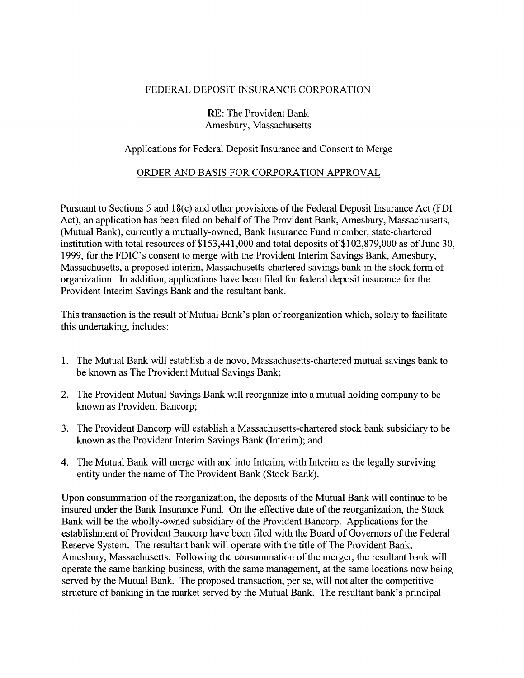## FEDERAL DEPOSIT INSURANCE CORPORATION

## RE: The Provident Bank Amesbury, Massachusetts

## Applications for Federal Deposit Insurance and Consent to Merge

## ORDER AND BASIS FOR CORPORATION APPROVAL

Pursuant to Sections 5 and 18(c) and other provisions of the Federal Deposit Insurance Act (FDI Act), an application has been filed on behalf of The Provident Bank, Amesbury, Massachusetts, (Mutual Bank), currently a mutually-owned, Bank Insurance Fund member, state-chartered institution with total resources of \$153,441,000 and total deposits of \$102,879,000 as of June 30, 1999, for the FDIC's consent to merge with the Provident Interim Savings Bank, Amesbury, Massachusetts, a proposed interim, Massachusetts-chartered savings bank in the stock form of organization. In addition, applications have been filed for federal deposit insurance for the Provident Interim Savings Bank and the resultant bank.

This transaction is the result of Mutual Bank's plan of reorganization which, solely to facilitate this undertaking, includes:

- 1. The Mutual Bank will establish a de novo, Massachusetts-chartered mutual savings bank to be known as The Provident Mutual Savings Bank;
- 2. The Provident Mutual Savings Bank will reorganize into a mutual holding company to be known as Provident Bancorp;
- 3. The Provident Bancorp will establish a Massachusetts-chartered stock bank subsidiary to be known as the Provident Interim Savings Bank (Interim); and
- 4. The Mutual Bank will merge with and into Interim, with Interim as the legally surviving entity under the name of The Provident Bank (Stock Bank).

Upon consummation of the reorganization, the deposits of the Mutual Bank will continue to be insured under the Bank Insurance Fund. On the effective date of the reorganization, the Stock Bank will be the wholly-owned subsidiary of the Provident Bancorp. Applications for the establishment of Provident Bancorp have been filed with the Board of Governors of the Federal Reserve System. The resultant bank will operate with the title of The Provident Bank, Amesbury, Massachusetts. Following the consummation of the merger, the resultant bank will operate the same banking business, with the same management, at the same locations now being served by the Mutual Bank. The proposed transaction, per se, will not alter the competitive structure of banking in the market served by the Mutual Bank. The resultant bank's principal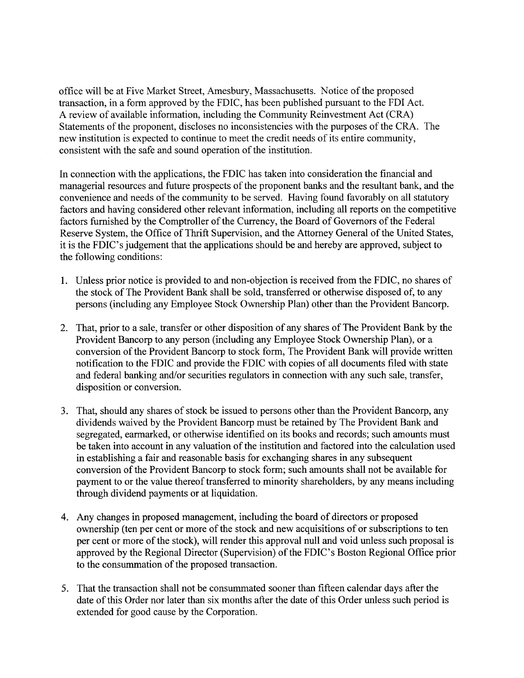office will be at Five Market Street, Amesbury, Massachusetts. Notice of the proposed transaction, in a form approved by the FDIC, has been published pursuant to the FDI Act. A review of available information, including the Community Reinvestment Act (CRA) Statements of the proponent, discloses no inconsistencies with the purposes of the CRA. The new institution is expected to continue to meet the credit needs of its entire community, consistent with the safe and sound operation of the institution.

In connection with the applications, the FDIC has taken into consideration the financial and managerial resources and future prospects of the proponent banks and the resultant bank, and the convenience and needs of the community to be served. Having found favorably on all statutory factors and having considered other relevant information, including all reports on the competitive factors furnished by the Comptroller of the Currency, the Board of Governors of the Federal Reserve System, the Office of Thrift Supervision, and the Attorney General of the United States, it is the FDIC's judgement that the applications should be and hereby are approved, subject to the following conditions:

- 1. Unless prior notice is provided to and non-objection is received from the FDIC, no shares of the stock of The Provident Bank shall be sold, transferred or otherwise disposed of, to any persons (including any Employee Stock Ownership Plan) other than the Provident Bancorp.
- 2. That, prior to a sale, transfer or other disposition of any shares of The Provident Bank by the Provident Bancorp to any person (including any Employee Stock Ownership Plan), or a conversion of the Provident Bancorp to stock form, The Provident Bank will provide written notification to the FDIC and provide the FDIC with copies of all documents filed with state and federal banking and/or securities regulators in connection with any such sale, transfer, disposition or conversion.
- 3. That, should any shares of stock be issued to persons other than the Provident Bancorp, any dividends waived by the Provident Bancorp must be retained by The Provident Bank and segregated, earmarked, or otherwise identified on its books and records; such amounts must be taken into account in any valuation of the institution and factored into the calculation used in establishing a fair and reasonable basis for exchanging shares in any subsequent conversion of the Provident Bancorp to stock form; such amounts shall not be available for payment to or the value thereof transferred to minority shareholders, by any means including through dividend payments or at liquidation.
- 4. Any changes in proposed management, including the board of directors or proposed ownership (ten per cent or more of the stock and new acquisitions of or subscriptions to ten per cent or more of the stock), will render this approval null and void unless such proposal is approved by the Regional Director (Supervision) of the FDIC's Boston Regional Office prior to the consummation of the proposed transaction.
- 5. That the transaction shall not be consummated sooner than fifteen calendar days after the date of this Order nor later than six months after the date of this Order unless such period is extended for good cause by the Corporation.